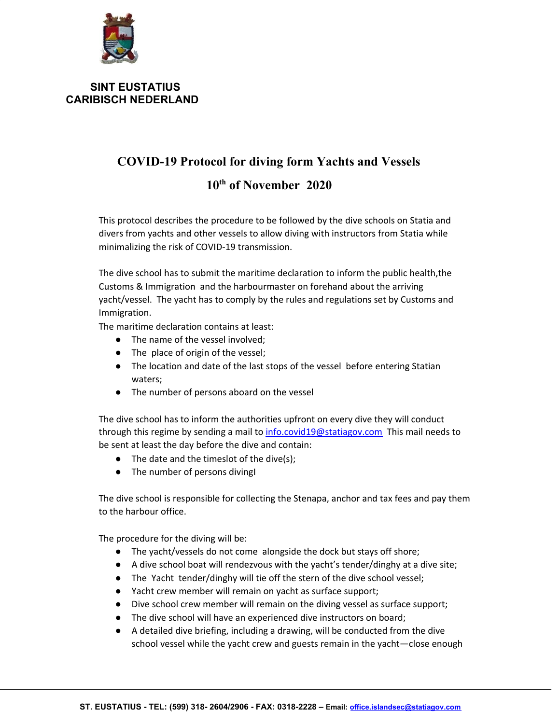

## **SINT EUSTATIUS CARIBISCH NEDERLAND**

## **COVID-19 Protocol for diving form Yachts and Vessels 10 th of November 2020**

This protocol describes the procedure to be followed by the dive schools on Statia and divers from yachts and other vessels to allow diving with instructors from Statia while minimalizing the risk of COVID-19 transmission.

The dive school has to submit the maritime declaration to inform the public health,the Customs & Immigration and the harbourmaster on forehand about the arriving yacht/vessel. The yacht has to comply by the rules and regulations set by Customs and Immigration.

The maritime declaration contains at least:

- The name of the vessel involved:
- The place of origin of the vessel;
- The location and date of the last stops of the vessel before entering Statian waters;
- The number of persons aboard on the vessel

The dive school has to inform the authorities upfront on every dive they will conduct through this regime by sending a mail to [info.covid19@statiagov.com](mailto:info.covid19@statiagov.com) This mail needs to be sent at least the day before the dive and contain:

- $\bullet$  The date and the timeslot of the dive(s);
- The number of persons divingI

The dive school is responsible for collecting the Stenapa, anchor and tax fees and pay them to the harbour office.

The procedure for the diving will be:

- The yacht/vessels do not come alongside the dock but stays off shore;
- $\bullet$  A dive school boat will rendezvous with the yacht's tender/dinghy at a dive site;
- The Yacht tender/dinghy will tie off the stern of the dive school vessel;
- Yacht crew member will remain on yacht as surface support;
- Dive school crew member will remain on the diving vessel as surface support;
- The dive school will have an experienced dive instructors on board;
- A detailed dive briefing, including a drawing, will be conducted from the dive school vessel while the yacht crew and guests remain in the yacht—close enough